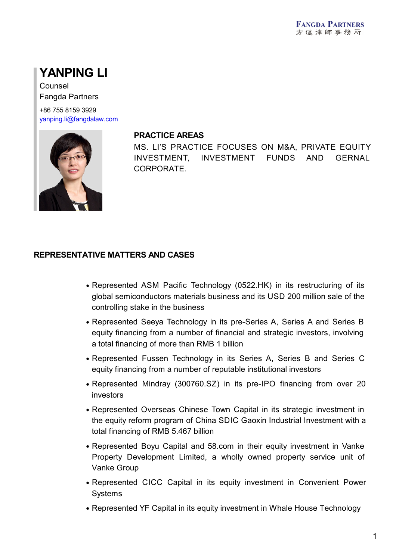# **YANPING LI**

Counsel Fangda Partners

+86 755 8159 3929 [yanping.li@fangdalaw.com](mailto:yanping.li@fangdalaw.com)



#### **PRACTICE AREAS**

MS. LI'S PRACTICE FOCUSES ON M&A, PRIVATE EQUITY INVESTMENT, INVESTMENT FUNDS AND GERNAL CORPORATE.

## **REPRESENTATIVE MATTERS AND CASES**

- Represented ASM Pacific Technology (0522.HK) in its restructuring of its global semiconductors materials business and its USD 200 million sale of the controlling stake in the business
- Represented Seeya Technology in its pre-Series A, Series A and Series B equity financing from a number of financial and strategic investors, involving a total financing of more than RMB 1 billion
- Represented Fussen Technology in its Series A, Series B and Series C equity financing from a number of reputable institutional investors
- Represented Mindray (300760.SZ) in its pre-IPO financing from over 20 investors
- Represented Overseas Chinese Town Capital in its strategic investment in the equity reform program of China SDIC Gaoxin Industrial Investment with a total financing of RMB 5.467 billion
- Represented Boyu Capital and 58.com in their equity investment in Vanke Property Development Limited, a wholly owned property service unit of Vanke Group
- Represented CICC Capital in its equity investment in Convenient Power Systems
- Represented YF Capital in its equity investment in Whale House Technology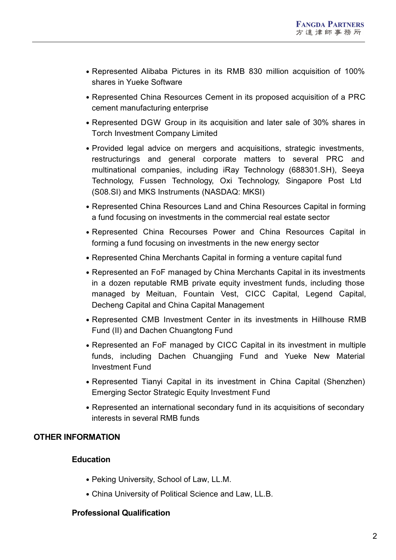- Represented Alibaba Pictures in its RMB 830 million acquisition of 100% shares in Yueke Software
- Represented China Resources Cement in its proposed acquisition of a PRC cement manufacturing enterprise
- Represented DGW Group in its acquisition and later sale of 30% shares in Torch Investment Company Limited
- Provided legal advice on mergers and acquisitions, strategic investments, restructurings and general corporate matters to several PRC and multinational companies, including iRay Technology (688301.SH), Seeya Technology, Fussen Technology, Oxi Technology, Singapore Post Ltd (S08.SI) and MKS Instruments (NASDAQ: MKSI)
- Represented China Resources Land and China Resources Capital in forming a fund focusing on investments in the commercial real estate sector
- Represented China Recourses Power and China Resources Capital in forming a fund focusing on investments in the new energy sector
- Represented China Merchants Capital in forming a venture capital fund
- Represented an FoF managed by China Merchants Capital in its investments in a dozen reputable RMB private equity investment funds, including those managed by Meituan, Fountain Vest, CICC Capital, Legend Capital, Decheng Capital and China Capital Management
- Represented CMB Investment Center in its investments in Hillhouse RMB Fund (II) and Dachen Chuangtong Fund
- Represented an FoF managed by CICC Capital in its investment in multiple funds, including Dachen Chuangjing Fund and Yueke New Material Investment Fund
- Represented Tianyi Capital in its investment in China Capital (Shenzhen) Emerging Sector Strategic Equity Investment Fund
- Represented an international secondary fund in its acquisitions of secondary interests in several RMB funds

## **OTHER INFORMATION**

## **Education**

- Peking University, School of Law, LL.M.
- China University of Political Science and Law, LL.B.

## **Professional Qualification**